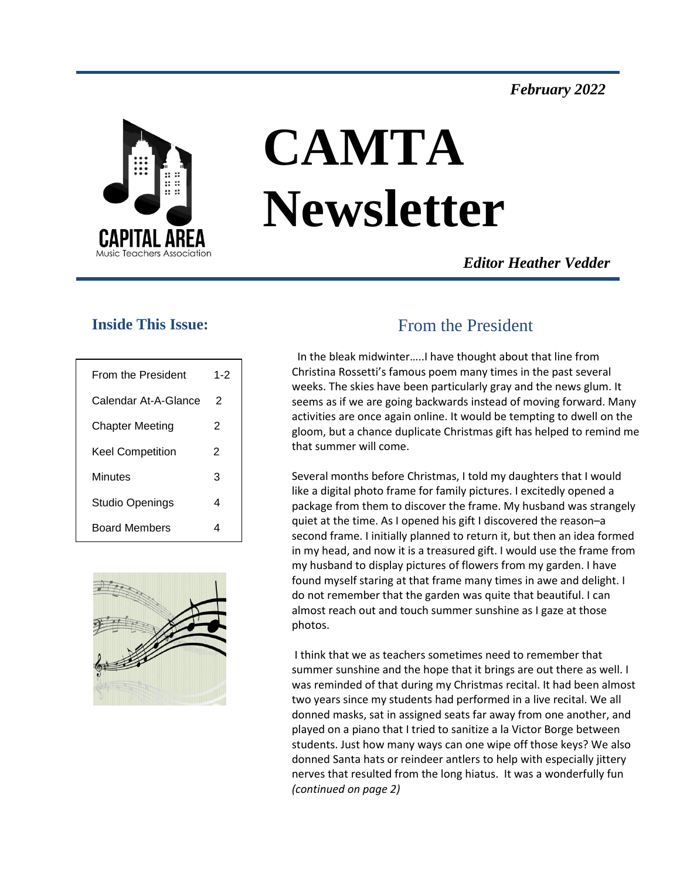*February 2022*



# **CAMTA Newsletter**

*Editor Heather Vedder*

## **Inside This Issue:**

| From the President      | $1 - 2$ |
|-------------------------|---------|
| Calendar At-A-Glance    | 2       |
| <b>Chapter Meeting</b>  | 2       |
| <b>Keel Competition</b> | 2       |
| Minutes                 | 3       |
| <b>Studio Openings</b>  | 4       |
| <b>Board Members</b>    | 4       |



# From the President

In the bleak midwinter…..I have thought about that line from Christina Rossetti's famous poem many times in the past several weeks. The skies have been particularly gray and the news glum. It seems as if we are going backwards instead of moving forward. Many activities are once again online. It would be tempting to dwell on the gloom, but a chance duplicate Christmas gift has helped to remind me that summer will come.

Several months before Christmas, I told my daughters that I would like a digital photo frame for family pictures. I excitedly opened a package from them to discover the frame. My husband was strangely quiet at the time. As I opened his gift I discovered the reason–a second frame. I initially planned to return it, but then an idea formed in my head, and now it is a treasured gift. I would use the frame from my husband to display pictures of flowers from my garden. I have found myself staring at that frame many times in awe and delight. I do not remember that the garden was quite that beautiful. I can almost reach out and touch summer sunshine as I gaze at those photos.

I think that we as teachers sometimes need to remember that summer sunshine and the hope that it brings are out there as well. I was reminded of that during my Christmas recital. It had been almost two years since my students had performed in a live recital. We all donned masks, sat in assigned seats far away from one another, and played on a piano that I tried to sanitize a la Victor Borge between students. Just how many ways can one wipe off those keys? We also donned Santa hats or reindeer antlers to help with especially jittery nerves that resulted from the long hiatus. It was a wonderfully fun *(continued on page 2)*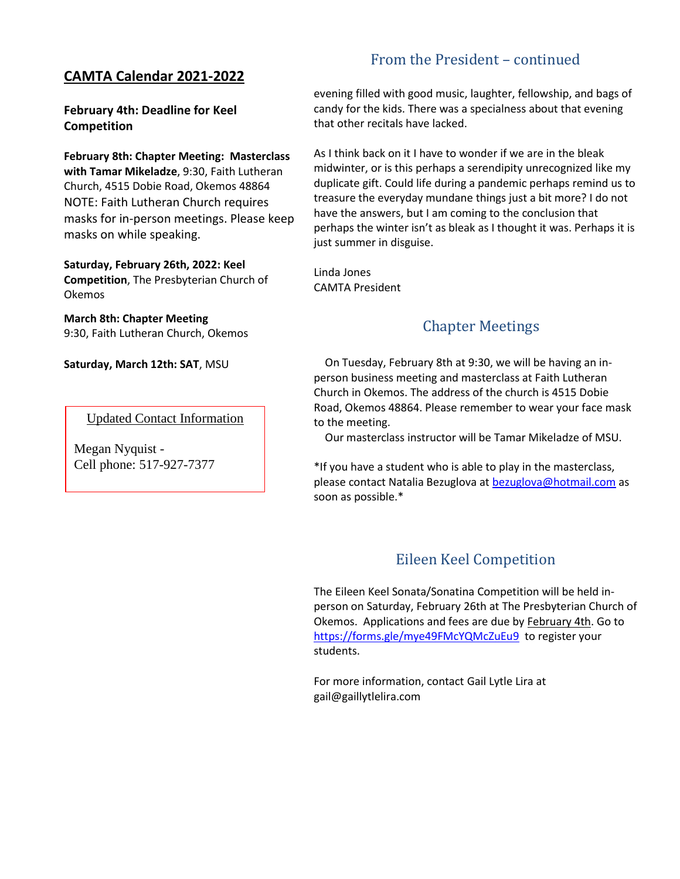# **CAMTA Calendar 2021-2022**

### **February 4th: Deadline for Keel Competition**

**February 8th: Chapter Meeting: Masterclass with Tamar Mikeladze**, 9:30, Faith Lutheran Church, 4515 Dobie Road, Okemos 48864 NOTE: Faith Lutheran Church requires masks for in-person meetings. Please keep masks on while speaking.

**Saturday, February 26th, 2022: Keel Competition**, The Presbyterian Church of Okemos

**March 8th: Chapter Meeting** 9:30, Faith Lutheran Church, Okemos

**Saturday, March 12th: SAT**, MSU

Updated Contact Information

Megan Nyquist - Cell phone: 517-927-7377

# From the President – continued

evening filled with good music, laughter, fellowship, and bags of candy for the kids. There was a specialness about that evening that other recitals have lacked.

As I think back on it I have to wonder if we are in the bleak midwinter, or is this perhaps a serendipity unrecognized like my duplicate gift. Could life during a pandemic perhaps remind us to treasure the everyday mundane things just a bit more? I do not have the answers, but I am coming to the conclusion that perhaps the winter isn't as bleak as I thought it was. Perhaps it is just summer in disguise.

Linda Jones CAMTA President

# Chapter Meetings

 On Tuesday, February 8th at 9:30, we will be having an inperson business meeting and masterclass at Faith Lutheran Church in Okemos. The address of the church is 4515 Dobie Road, Okemos 48864. Please remember to wear your face mask to the meeting.

Our masterclass instructor will be Tamar Mikeladze of MSU.

\*If you have a student who is able to play in the masterclass, please contact Natalia Bezuglova at [bezuglova@hotmail.com](mailto:bezuglova@hotmail.com) as soon as possible.\*

# Eileen Keel Competition

The Eileen Keel Sonata/Sonatina Competition will be held inperson on Saturday, February 26th at The Presbyterian Church of Okemos. Applications and fees are due by February 4th. Go to <https://forms.gle/mye49FMcYQMcZuEu9> to register your students.

For more information, contact Gail Lytle Lira at gail@gaillytlelira.com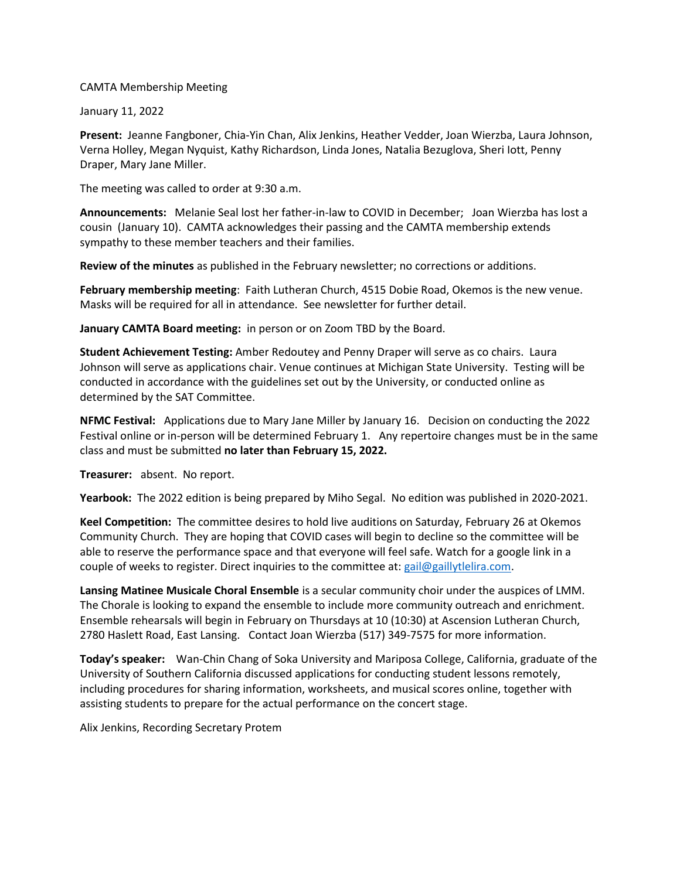#### CAMTA Membership Meeting

January 11, 2022

**Present:** Jeanne Fangboner, Chia-Yin Chan, Alix Jenkins, Heather Vedder, Joan Wierzba, Laura Johnson, Verna Holley, Megan Nyquist, Kathy Richardson, Linda Jones, Natalia Bezuglova, Sheri Iott, Penny Draper, Mary Jane Miller.

The meeting was called to order at 9:30 a.m.

**Announcements:** Melanie Seal lost her father-in-law to COVID in December; Joan Wierzba has lost a cousin (January 10). CAMTA acknowledges their passing and the CAMTA membership extends sympathy to these member teachers and their families.

**Review of the minutes** as published in the February newsletter; no corrections or additions.

**February membership meeting**: Faith Lutheran Church, 4515 Dobie Road, Okemos is the new venue. Masks will be required for all in attendance. See newsletter for further detail.

**January CAMTA Board meeting:** in person or on Zoom TBD by the Board.

**Student Achievement Testing:** Amber Redoutey and Penny Draper will serve as co chairs. Laura Johnson will serve as applications chair. Venue continues at Michigan State University. Testing will be conducted in accordance with the guidelines set out by the University, or conducted online as determined by the SAT Committee.

**NFMC Festival:** Applications due to Mary Jane Miller by January 16. Decision on conducting the 2022 Festival online or in-person will be determined February 1. Any repertoire changes must be in the same class and must be submitted **no later than February 15, 2022.**

**Treasurer:** absent. No report.

**Yearbook:** The 2022 edition is being prepared by Miho Segal. No edition was published in 2020-2021.

**Keel Competition:** The committee desires to hold live auditions on Saturday, February 26 at Okemos Community Church. They are hoping that COVID cases will begin to decline so the committee will be able to reserve the performance space and that everyone will feel safe. Watch for a google link in a couple of weeks to register. Direct inquiries to the committee at: [gail@gaillytlelira.com.](mailto:gail@gaillytlelira.com)

**Lansing Matinee Musicale Choral Ensemble** is a secular community choir under the auspices of LMM. The Chorale is looking to expand the ensemble to include more community outreach and enrichment. Ensemble rehearsals will begin in February on Thursdays at 10 (10:30) at Ascension Lutheran Church, 2780 Haslett Road, East Lansing. Contact Joan Wierzba (517) 349-7575 for more information.

**Today's speaker:** Wan-Chin Chang of Soka University and Mariposa College, California, graduate of the University of Southern California discussed applications for conducting student lessons remotely, including procedures for sharing information, worksheets, and musical scores online, together with assisting students to prepare for the actual performance on the concert stage.

Alix Jenkins, Recording Secretary Protem